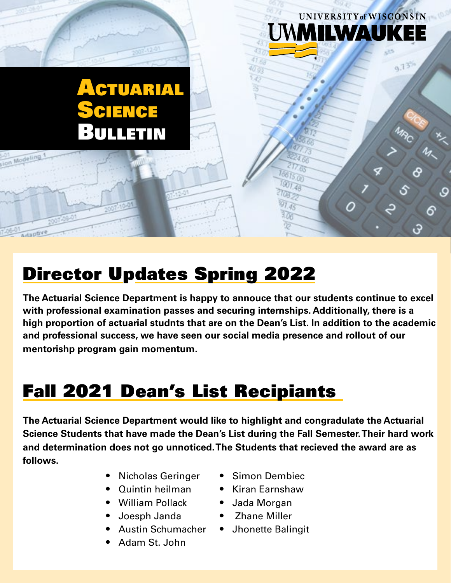## **CTUARIAL** ENCE Bulletin

## Director Updates Spring 2022

**The Actuarial Science Department is happy to annouce that our students continue to excel with professional examination passes and securing internships. Additionally, there is a high proportion of actuarial studnts that are on the Dean's List. In addition to the academic and professional success, we have seen our social media presence and rollout of our mentorishp program gain momentum.** 

## Fall 2021 Dean's List Recipiants

**The Actuarial Science Department would like to highlight and congradulate the Actuarial Science Students that have made the Dean's List during the Fall Semester. Their hard work and determination does not go unnoticed. The Students that recieved the award are as follows.**

- Nicholas Geringer
- Quintin heilman
- William Pollack
- Joesph Janda
- Austin Schumacher
- Adam St. John

• Simon Dembiec

UNIVERSITY of WISCONSIN

ILWAUKI

86

 $9.73^{1}$ 

- Kiran Earnshaw
- Jada Morgan
- Zhane Miller
- Jhonette Balingit